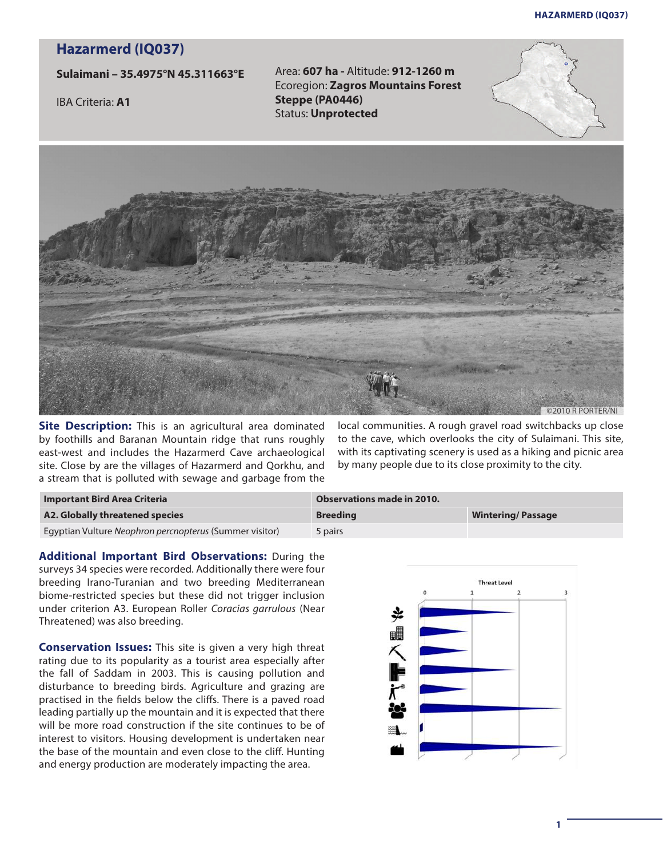## **Hazarmerd (iq037)**

## **Hazarmerd (IQ037)**

## **Sulaimani – 35.4975°N 45.311663°E**

IBA Criteria: **A1**

Area: **607 ha -** Altitude: **912-1260 m** Ecoregion: **Zagros Mountains Forest Steppe (PA0446)** Status: **Unprotected** 





**Site Description:** This is an agricultural area dominated by foothills and Baranan Mountain ridge that runs roughly east-west and includes the Hazarmerd Cave archaeological site. Close by are the villages of Hazarmerd and Qorkhu, and a stream that is polluted with sewage and garbage from the

local communities. A rough gravel road switchbacks up close to the cave, which overlooks the city of Sulaimani. This site, with its captivating scenery is used as a hiking and picnic area by many people due to its close proximity to the city.

| <b>Important Bird Area Criteria</b>                     | Observations made in 2010. |                          |
|---------------------------------------------------------|----------------------------|--------------------------|
| A2. Globally threatened species                         | <b>Breeding</b>            | <b>Wintering/Passage</b> |
| Egyptian Vulture Neophron percnopterus (Summer visitor) | 5 pairs                    |                          |

**Additional Important Bird Observations:** During the surveys 34 species were recorded. Additionally there were four breeding Irano-Turanian and two breeding Mediterranean biome-restricted species but these did not trigger inclusion under criterion A3. European Roller *Coracias garrulous* (Near Threatened) was also breeding.

**Conservation Issues:** This site is given a very high threat rating due to its popularity as a tourist area especially after the fall of Saddam in 2003. This is causing pollution and disturbance to breeding birds. Agriculture and grazing are practised in the fields below the cliffs. There is a paved road leading partially up the mountain and it is expected that there will be more road construction if the site continues to be of interest to visitors. Housing development is undertaken near the base of the mountain and even close to the cliff. Hunting and energy production are moderately impacting the area.